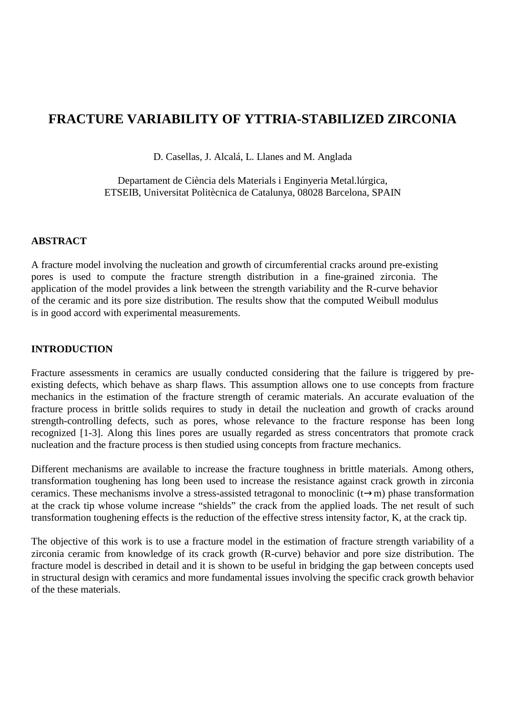# **FRACTURE VARIABILITY OF YTTRIA-STABILIZED ZIRCONIA**

D. Casellas, J. Alcalá, L. Llanes and M. Anglada

Departament de Ciència dels Materials i Enginyeria Metal.lúrgica, ETSEIB, Universitat Politècnica de Catalunya, 08028 Barcelona, SPAIN

## **ABSTRACT**

A fracture model involving the nucleation and growth of circumferential cracks around pre-existing pores is used to compute the fracture strength distribution in a fine-grained zirconia. The application of the model provides a link between the strength variability and the R-curve behavior of the ceramic and its pore size distribution. The results show that the computed Weibull modulus is in good accord with experimental measurements.

# **INTRODUCTION**

Fracture assessments in ceramics are usually conducted considering that the failure is triggered by preexisting defects, which behave as sharp flaws. This assumption allows one to use concepts from fracture mechanics in the estimation of the fracture strength of ceramic materials. An accurate evaluation of the fracture process in brittle solids requires to study in detail the nucleation and growth of cracks around strength-controlling defects, such as pores, whose relevance to the fracture response has been long recognized [1-3]. Along this lines pores are usually regarded as stress concentrators that promote crack nucleation and the fracture process is then studied using concepts from fracture mechanics.

Different mechanisms are available to increase the fracture toughness in brittle materials. Among others, transformation toughening has long been used to increase the resistance against crack growth in zirconia ceramics. These mechanisms involve a stress-assisted tetragonal to monoclinic (t→m) phase transformation at the crack tip whose volume increase "shields" the crack from the applied loads. The net result of such transformation toughening effects is the reduction of the effective stress intensity factor, K, at the crack tip.

The objective of this work is to use a fracture model in the estimation of fracture strength variability of a zirconia ceramic from knowledge of its crack growth (R-curve) behavior and pore size distribution. The fracture model is described in detail and it is shown to be useful in bridging the gap between concepts used in structural design with ceramics and more fundamental issues involving the specific crack growth behavior of the these materials.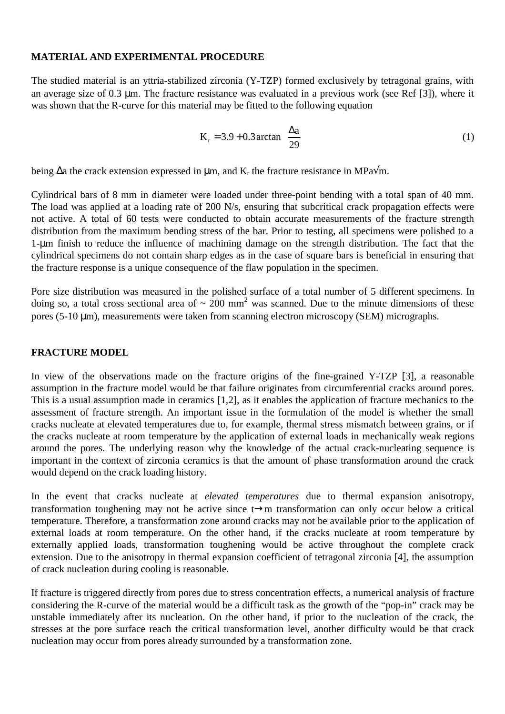## **MATERIAL AND EXPERIMENTAL PROCEDURE**

The studied material is an yttria-stabilized zirconia (Y-TZP) formed exclusively by tetragonal grains, with an average size of 0.3 µm. The fracture resistance was evaluated in a previous work (see Ref [3]), where it was shown that the R-curve for this material may be fitted to the following equation

$$
K_r = 3.9 + 0.3 \arctan\left(\frac{\Delta a}{29}\right)
$$
 (1)

being ∆a the crack extension expressed in μm, and K<sub>r</sub> the fracture resistance in MPa√m.

Cylindrical bars of 8 mm in diameter were loaded under three-point bending with a total span of 40 mm. The load was applied at a loading rate of 200 N/s, ensuring that subcritical crack propagation effects were not active. A total of 60 tests were conducted to obtain accurate measurements of the fracture strength distribution from the maximum bending stress of the bar. Prior to testing, all specimens were polished to a 1-µm finish to reduce the influence of machining damage on the strength distribution. The fact that the cylindrical specimens do not contain sharp edges as in the case of square bars is beneficial in ensuring that the fracture response is a unique consequence of the flaw population in the specimen.

Pore size distribution was measured in the polished surface of a total number of 5 different specimens. In doing so, a total cross sectional area of  $\sim 200$  mm<sup>2</sup> was scanned. Due to the minute dimensions of these pores (5-10 µm), measurements were taken from scanning electron microscopy (SEM) micrographs.

## **FRACTURE MODEL**

In view of the observations made on the fracture origins of the fine-grained Y-TZP [3], a reasonable assumption in the fracture model would be that failure originates from circumferential cracks around pores. This is a usual assumption made in ceramics [1,2], as it enables the application of fracture mechanics to the assessment of fracture strength. An important issue in the formulation of the model is whether the small cracks nucleate at elevated temperatures due to, for example, thermal stress mismatch between grains, or if the cracks nucleate at room temperature by the application of external loads in mechanically weak regions around the pores. The underlying reason why the knowledge of the actual crack-nucleating sequence is important in the context of zirconia ceramics is that the amount of phase transformation around the crack would depend on the crack loading history.

In the event that cracks nucleate at *elevated temperatures* due to thermal expansion anisotropy, transformation toughening may not be active since t→m transformation can only occur below a critical temperature. Therefore, a transformation zone around cracks may not be available prior to the application of external loads at room temperature. On the other hand, if the cracks nucleate at room temperature by externally applied loads, transformation toughening would be active throughout the complete crack extension. Due to the anisotropy in thermal expansion coefficient of tetragonal zirconia [4], the assumption of crack nucleation during cooling is reasonable.

If fracture is triggered directly from pores due to stress concentration effects, a numerical analysis of fracture considering the R-curve of the material would be a difficult task as the growth of the "pop-in" crack may be unstable immediately after its nucleation. On the other hand, if prior to the nucleation of the crack, the stresses at the pore surface reach the critical transformation level, another difficulty would be that crack nucleation may occur from pores already surrounded by a transformation zone.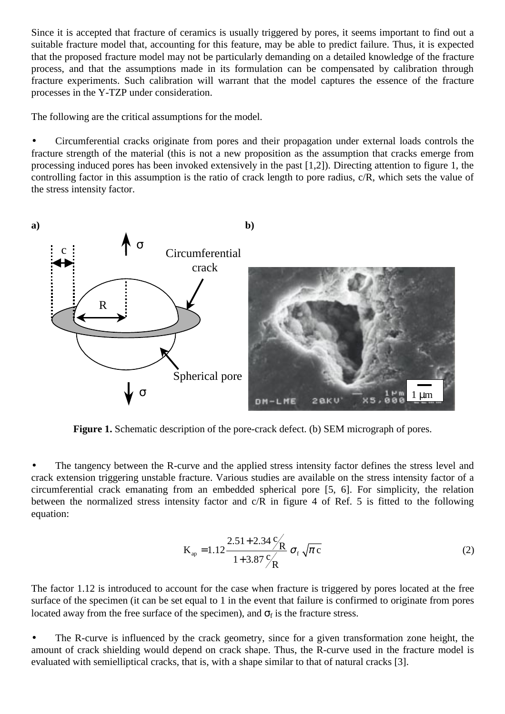Since it is accepted that fracture of ceramics is usually triggered by pores, it seems important to find out a suitable fracture model that, accounting for this feature, may be able to predict failure. Thus, it is expected that the proposed fracture model may not be particularly demanding on a detailed knowledge of the fracture process, and that the assumptions made in its formulation can be compensated by calibration through fracture experiments. Such calibration will warrant that the model captures the essence of the fracture processes in the Y-TZP under consideration.

The following are the critical assumptions for the model.

• Circumferential cracks originate from pores and their propagation under external loads controls the fracture strength of the material (this is not a new proposition as the assumption that cracks emerge from processing induced pores has been invoked extensively in the past [1,2]). Directing attention to figure 1, the controlling factor in this assumption is the ratio of crack length to pore radius, c/R, which sets the value of the stress intensity factor.



Figure 1. Schematic description of the pore-crack defect. (b) SEM micrograph of pores.

• The tangency between the R-curve and the applied stress intensity factor defines the stress level and crack extension triggering unstable fracture. Various studies are available on the stress intensity factor of a circumferential crack emanating from an embedded spherical pore [5, 6]. For simplicity, the relation between the normalized stress intensity factor and c/R in figure 4 of Ref. 5 is fitted to the following equation:

$$
K_{ap} = 1.12 \frac{2.51 + 2.34 \frac{C}{R}}{1 + 3.87 \frac{C}{R}} \sigma_f \sqrt{\pi c}
$$
 (2)

The factor 1.12 is introduced to account for the case when fracture is triggered by pores located at the free surface of the specimen (it can be set equal to 1 in the event that failure is confirmed to originate from pores located away from the free surface of the specimen), and  $\sigma_f$  is the fracture stress.

The R-curve is influenced by the crack geometry, since for a given transformation zone height, the amount of crack shielding would depend on crack shape. Thus, the R-curve used in the fracture model is evaluated with semielliptical cracks, that is, with a shape similar to that of natural cracks [3].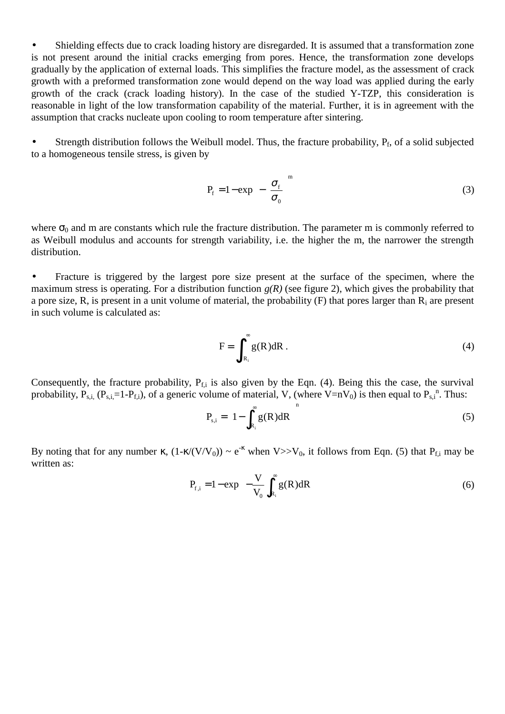• Shielding effects due to crack loading history are disregarded. It is assumed that a transformation zone is not present around the initial cracks emerging from pores. Hence, the transformation zone develops gradually by the application of external loads. This simplifies the fracture model, as the assessment of crack growth with a preformed transformation zone would depend on the way load was applied during the early growth of the crack (crack loading history). In the case of the studied Y-TZP, this consideration is reasonable in light of the low transformation capability of the material. Further, it is in agreement with the assumption that cracks nucleate upon cooling to room temperature after sintering.

• Strength distribution follows the Weibull model. Thus, the fracture probability,  $P_f$ , of a solid subjected to a homogeneous tensile stress, is given by

$$
P_{f} = 1 - \exp\left[-\left(\frac{\sigma_{f}}{\sigma_{0}}\right)^{m}\right]
$$
 (3)

where  $\sigma_0$  and m are constants which rule the fracture distribution. The parameter m is commonly referred to as Weibull modulus and accounts for strength variability, i.e. the higher the m, the narrower the strength distribution.

• Fracture is triggered by the largest pore size present at the surface of the specimen, where the maximum stress is operating. For a distribution function  $g(R)$  (see figure 2), which gives the probability that a pore size, R, is present in a unit volume of material, the probability  $(F)$  that pores larger than  $R_i$  are present in such volume is calculated as:

$$
F = \int_{R_i}^{\infty} g(R) dR \tag{4}
$$

Consequently, the fracture probability,  $P_{f,i}$  is also given by the Eqn. (4). Being this the case, the survival probability,  $P_{s,i}$ ,  $(P_{s,i}=1-P_{f,i})$ , of a generic volume of material, V, (where V=nV<sub>0</sub>) is then equal to  $P_{s,i}^{n}$ . Thus:

$$
P_{s,i} = \left(1 - \int_{R_i}^{\infty} g(R) dR\right)^n
$$
 (5)

By noting that for any number  $\kappa$ ,  $(1-\kappa/(V/V_0)) \sim e^{-\kappa}$  when  $V >> V_0$ , it follows from Eqn. (5) that  $P_{f,i}$  may be written as:

$$
P_{f,i} = 1 - \exp\left(-\frac{V}{V_0} \int_{R_i}^{\infty} g(R) dR\right)
$$
 (6)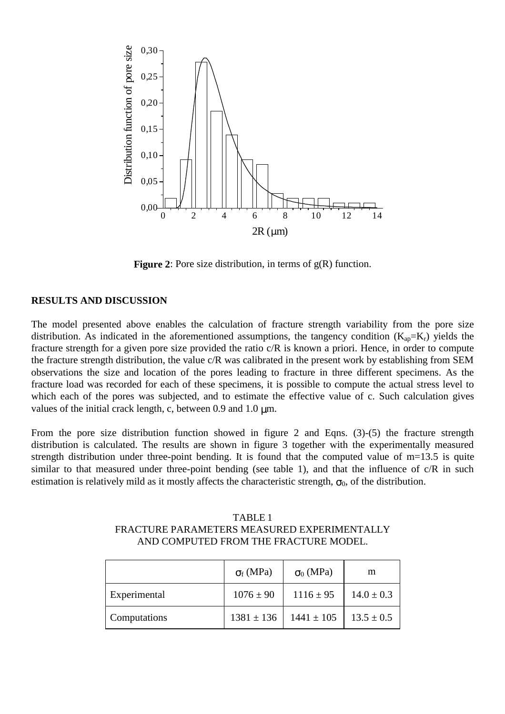

**Figure 2**: Pore size distribution, in terms of  $g(R)$  function.

# **RESULTS AND DISCUSSION**

The model presented above enables the calculation of fracture strength variability from the pore size distribution. As indicated in the aforementioned assumptions, the tangency condition  $(K_{ap}=K_r)$  yields the fracture strength for a given pore size provided the ratio c/R is known a priori. Hence, in order to compute the fracture strength distribution, the value c/R was calibrated in the present work by establishing from SEM observations the size and location of the pores leading to fracture in three different specimens. As the fracture load was recorded for each of these specimens, it is possible to compute the actual stress level to which each of the pores was subjected, and to estimate the effective value of c. Such calculation gives values of the initial crack length, c, between 0.9 and 1.0  $\mu$ m.

From the pore size distribution function showed in figure 2 and Eqns. (3)-(5) the fracture strength distribution is calculated. The results are shown in figure 3 together with the experimentally measured strength distribution under three-point bending. It is found that the computed value of m=13.5 is quite similar to that measured under three-point bending (see table 1), and that the influence of  $c/R$  in such estimation is relatively mild as it mostly affects the characteristic strength,  $\sigma_0$ , of the distribution.

| TABLE 1                                     |
|---------------------------------------------|
| FRACTURE PARAMETERS MEASURED EXPERIMENTALLY |
| AND COMPUTED FROM THE FRACTURE MODEL.       |

|              | $\sigma_f(MPa)$ | $\sigma_0$ (MPa) | m              |
|--------------|-----------------|------------------|----------------|
| Experimental | $1076 \pm 90$   | $1116 \pm 95$    | $14.0 \pm 0.3$ |
| Computations | $1381 \pm 136$  | $1441 \pm 105$   | $13.5 \pm 0.5$ |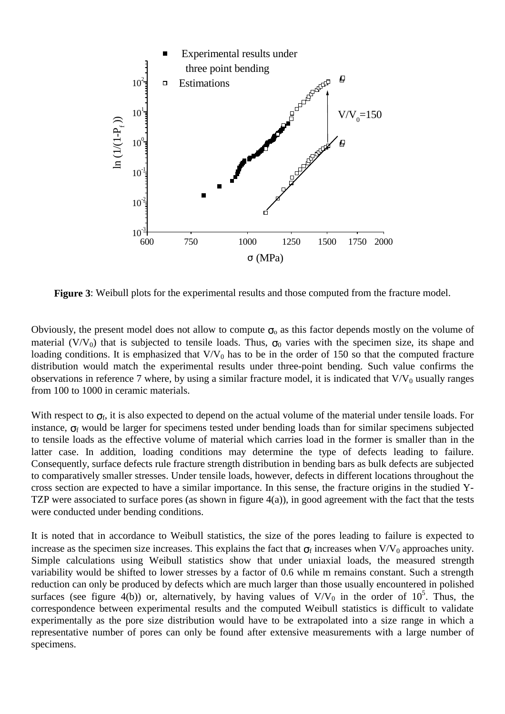

**Figure 3:** Weibull plots for the experimental results and those computed from the fracture model.

Obviously, the present model does not allow to compute  $\sigma_0$  as this factor depends mostly on the volume of material (V/V<sub>0</sub>) that is subjected to tensile loads. Thus,  $\sigma_0$  varies with the specimen size, its shape and loading conditions. It is emphasized that  $V/V_0$  has to be in the order of 150 so that the computed fracture distribution would match the experimental results under three-point bending. Such value confirms the observations in reference 7 where, by using a similar fracture model, it is indicated that  $V/V_0$  usually ranges from 100 to 1000 in ceramic materials.

With respect to  $\sigma_f$ , it is also expected to depend on the actual volume of the material under tensile loads. For instance,  $\sigma_f$  would be larger for specimens tested under bending loads than for similar specimens subjected to tensile loads as the effective volume of material which carries load in the former is smaller than in the latter case. In addition, loading conditions may determine the type of defects leading to failure. Consequently, surface defects rule fracture strength distribution in bending bars as bulk defects are subjected to comparatively smaller stresses. Under tensile loads, however, defects in different locations throughout the cross section are expected to have a similar importance. In this sense, the fracture origins in the studied Y-TZP were associated to surface pores (as shown in figure 4(a)), in good agreement with the fact that the tests were conducted under bending conditions.

It is noted that in accordance to Weibull statistics, the size of the pores leading to failure is expected to increase as the specimen size increases. This explains the fact that  $\sigma_f$  increases when V/V<sub>0</sub> approaches unity. Simple calculations using Weibull statistics show that under uniaxial loads, the measured strength variability would be shifted to lower stresses by a factor of 0.6 while m remains constant. Such a strength reduction can only be produced by defects which are much larger than those usually encountered in polished surfaces (see figure 4(b)) or, alternatively, by having values of  $V/V_0$  in the order of 10<sup>5</sup>. Thus, the correspondence between experimental results and the computed Weibull statistics is difficult to validate experimentally as the pore size distribution would have to be extrapolated into a size range in which a representative number of pores can only be found after extensive measurements with a large number of specimens.